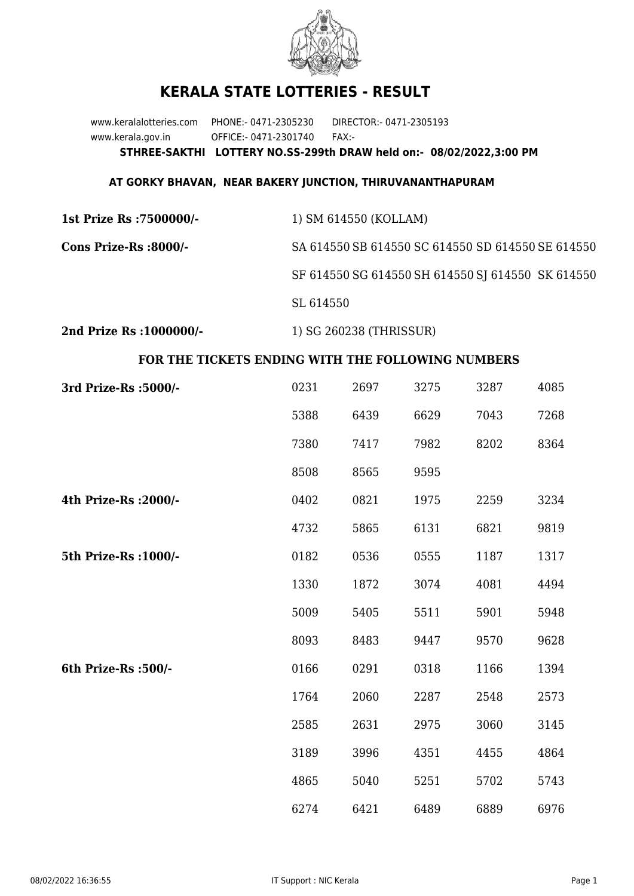

## **KERALA STATE LOTTERIES - RESULT**

www.keralalotteries.com PHONE:- 0471-2305230 DIRECTOR:- 0471-2305193 www.kerala.gov.in OFFICE:- 0471-2301740 FAX:- **STHREE-SAKTHI LOTTERY NO.SS-299th DRAW held on:- 08/02/2022,3:00 PM**

## **AT GORKY BHAVAN, NEAR BAKERY JUNCTION, THIRUVANANTHAPURAM**

| 1st Prize Rs :7500000/- | 1) SM 614550 (KOLLAM)                             |
|-------------------------|---------------------------------------------------|
| Cons Prize-Rs :8000/-   | SA 614550 SB 614550 SC 614550 SD 614550 SE 614550 |
|                         | SF 614550 SG 614550 SH 614550 SJ 614550 SK 614550 |
|                         | SL 614550                                         |
|                         |                                                   |

**2nd Prize Rs :1000000/-** 1) SG 260238 (THRISSUR)

## **FOR THE TICKETS ENDING WITH THE FOLLOWING NUMBERS**

| 3rd Prize-Rs : 5000/- | 0231 | 2697 | 3275 | 3287 | 4085 |
|-----------------------|------|------|------|------|------|
|                       | 5388 | 6439 | 6629 | 7043 | 7268 |
|                       | 7380 | 7417 | 7982 | 8202 | 8364 |
|                       | 8508 | 8565 | 9595 |      |      |
| 4th Prize-Rs : 2000/- | 0402 | 0821 | 1975 | 2259 | 3234 |
|                       | 4732 | 5865 | 6131 | 6821 | 9819 |
| 5th Prize-Rs : 1000/- | 0182 | 0536 | 0555 | 1187 | 1317 |
|                       | 1330 | 1872 | 3074 | 4081 | 4494 |
|                       | 5009 | 5405 | 5511 | 5901 | 5948 |
|                       | 8093 | 8483 | 9447 | 9570 | 9628 |
| 6th Prize-Rs :500/-   | 0166 | 0291 | 0318 | 1166 | 1394 |
|                       | 1764 | 2060 | 2287 | 2548 | 2573 |
|                       | 2585 | 2631 | 2975 | 3060 | 3145 |
|                       | 3189 | 3996 | 4351 | 4455 | 4864 |
|                       | 4865 | 5040 | 5251 | 5702 | 5743 |
|                       | 6274 | 6421 | 6489 | 6889 | 6976 |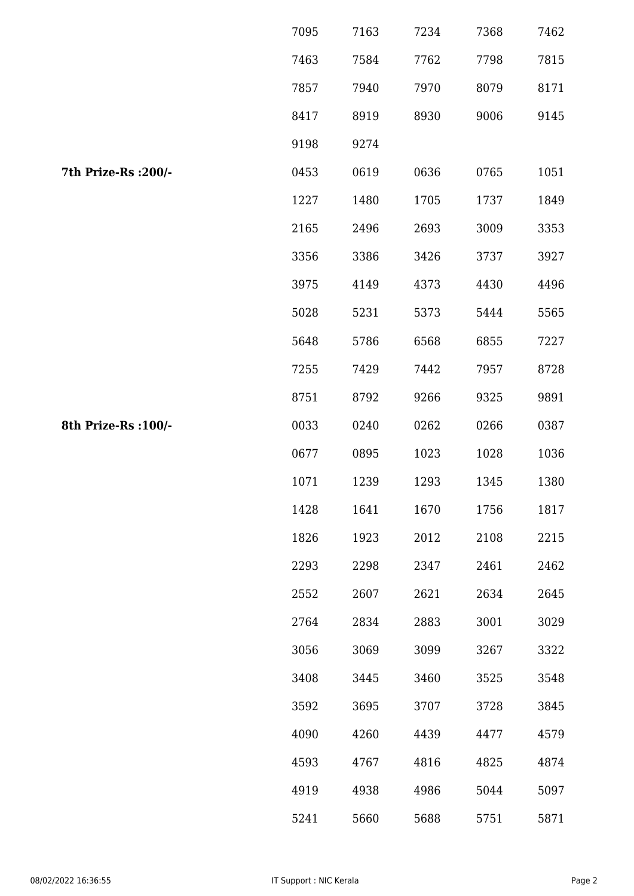|                      | 7095 | 7163 | 7234 | 7368 | 7462 |
|----------------------|------|------|------|------|------|
|                      | 7463 | 7584 | 7762 | 7798 | 7815 |
|                      | 7857 | 7940 | 7970 | 8079 | 8171 |
|                      | 8417 | 8919 | 8930 | 9006 | 9145 |
|                      | 9198 | 9274 |      |      |      |
| 7th Prize-Rs : 200/- | 0453 | 0619 | 0636 | 0765 | 1051 |
|                      | 1227 | 1480 | 1705 | 1737 | 1849 |
|                      | 2165 | 2496 | 2693 | 3009 | 3353 |
|                      | 3356 | 3386 | 3426 | 3737 | 3927 |
|                      | 3975 | 4149 | 4373 | 4430 | 4496 |
|                      | 5028 | 5231 | 5373 | 5444 | 5565 |
|                      | 5648 | 5786 | 6568 | 6855 | 7227 |
|                      | 7255 | 7429 | 7442 | 7957 | 8728 |
|                      | 8751 | 8792 | 9266 | 9325 | 9891 |
| 8th Prize-Rs : 100/- | 0033 | 0240 | 0262 | 0266 | 0387 |
|                      | 0677 | 0895 | 1023 | 1028 | 1036 |
|                      | 1071 | 1239 | 1293 | 1345 | 1380 |
|                      | 1428 | 1641 | 1670 | 1756 | 1817 |
|                      | 1826 | 1923 | 2012 | 2108 | 2215 |
|                      | 2293 | 2298 | 2347 | 2461 | 2462 |
|                      | 2552 | 2607 | 2621 | 2634 | 2645 |
|                      | 2764 | 2834 | 2883 | 3001 | 3029 |
|                      | 3056 | 3069 | 3099 | 3267 | 3322 |
|                      | 3408 | 3445 | 3460 | 3525 | 3548 |
|                      | 3592 | 3695 | 3707 | 3728 | 3845 |
|                      | 4090 | 4260 | 4439 | 4477 | 4579 |
|                      | 4593 | 4767 | 4816 | 4825 | 4874 |
|                      | 4919 | 4938 | 4986 | 5044 | 5097 |
|                      | 5241 | 5660 | 5688 | 5751 | 5871 |